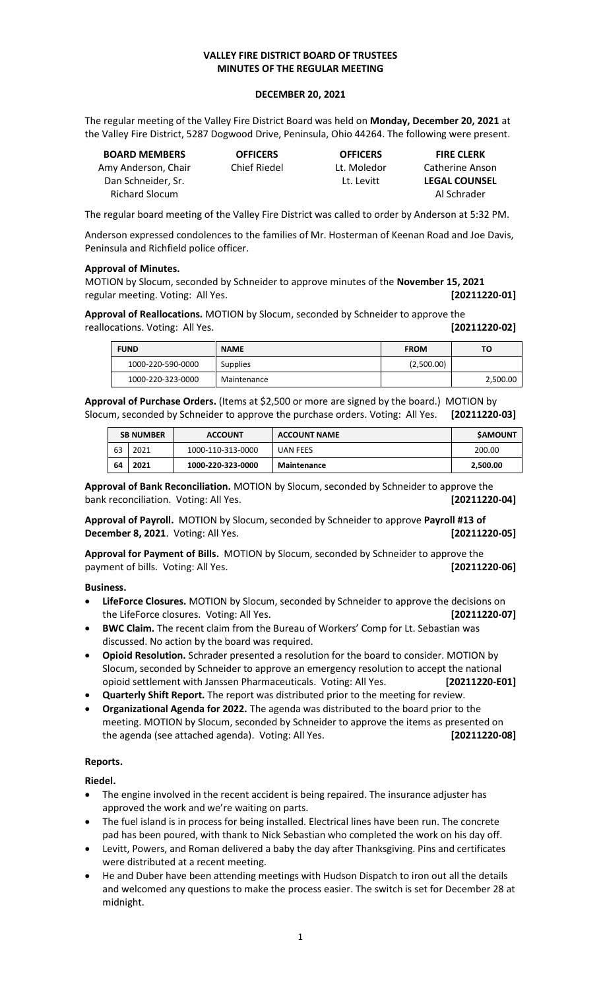# **VALLEY FIRE DISTRICT BOARD OF TRUSTEES MINUTES OF THE REGULAR MEETING**

#### **DECEMBER 20, 2021**

The regular meeting of the Valley Fire District Board was held on **Monday, December 20, 2021** at the Valley Fire District, 5287 Dogwood Drive, Peninsula, Ohio 44264. The following were present.

| <b>BOARD MEMBERS</b>  | <b>OFFICERS</b> | <b>OFFICERS</b> | <b>FIRE CLERK</b>    |
|-----------------------|-----------------|-----------------|----------------------|
| Amy Anderson, Chair   | Chief Riedel    | Lt. Moledor     | Catherine Anson      |
| Dan Schneider. Sr.    |                 | Lt. Levitt      | <b>LEGAL COUNSEL</b> |
| <b>Richard Slocum</b> |                 |                 | Al Schrader          |

The regular board meeting of the Valley Fire District was called to order by Anderson at 5:32 PM.

Anderson expressed condolences to the families of Mr. Hosterman of Keenan Road and Joe Davis, Peninsula and Richfield police officer.

## **Approval of Minutes.**

MOTION by Slocum, seconded by Schneider to approve minutes of the **November 15, 2021** regular meeting. Voting: All Yes. **[20211220-01]**

**Approval of Reallocations.** MOTION by Slocum, seconded by Schneider to approve the reallocations. Voting: All Yes. **[20211220-02]**

| <b>FUND</b> |                   | <b>NAME</b> | <b>FROM</b> | то       |  |
|-------------|-------------------|-------------|-------------|----------|--|
|             | 1000-220-590-0000 | Supplies    | (2,500.00)  |          |  |
|             | 1000-220-323-0000 | Maintenance |             | 2,500.00 |  |

**Approval of Purchase Orders.** (Items at \$2,500 or more are signed by the board.) MOTION by Slocum, seconded by Schneider to approve the purchase orders. Voting: All Yes. **[20211220-03]**

| <b>SB NUMBER</b><br><b>ACCOUNT</b> |      |                   | <b>ACCOUNT NAME</b> | <b>SAMOUNT</b> |  |
|------------------------------------|------|-------------------|---------------------|----------------|--|
| 63                                 | 2021 | 1000-110-313-0000 | UAN FEES            | 200.00         |  |
| 64                                 | 2021 | 1000-220-323-0000 | Maintenance         | 2,500.00       |  |

**Approval of Bank Reconciliation.** MOTION by Slocum, seconded by Schneider to approve the bank reconciliation. Voting: All Yes. **[20211220-04]**

**Approval of Payroll.** MOTION by Slocum, seconded by Schneider to approve **Payroll #13 of December 8, 2021**. Voting: All Yes. **[20211220-05]**

**Approval for Payment of Bills.** MOTION by Slocum, seconded by Schneider to approve the payment of bills. Voting: All Yes. **[20211220-06]**

## **Business.**

- **LifeForce Closures.** MOTION by Slocum, seconded by Schneider to approve the decisions on the LifeForce closures. Voting: All Yes. **[20211220-07]**
- **BWC Claim.** The recent claim from the Bureau of Workers' Comp for Lt. Sebastian was discussed. No action by the board was required.
- **Opioid Resolution.** Schrader presented a resolution for the board to consider. MOTION by Slocum, seconded by Schneider to approve an emergency resolution to accept the national opioid settlement with Janssen Pharmaceuticals. Voting: All Yes. **[20211220-E01]**
- **Quarterly Shift Report.** The report was distributed prior to the meeting for review.
- **Organizational Agenda for 2022.** The agenda was distributed to the board prior to the meeting. MOTION by Slocum, seconded by Schneider to approve the items as presented on the agenda (see attached agenda). Voting: All Yes. **[20211220-08]**

## **Reports.**

**Riedel.**

- The engine involved in the recent accident is being repaired. The insurance adjuster has approved the work and we're waiting on parts.
- The fuel island is in process for being installed. Electrical lines have been run. The concrete pad has been poured, with thank to Nick Sebastian who completed the work on his day off.
- Levitt, Powers, and Roman delivered a baby the day after Thanksgiving. Pins and certificates were distributed at a recent meeting.
- He and Duber have been attending meetings with Hudson Dispatch to iron out all the details and welcomed any questions to make the process easier. The switch is set for December 28 at midnight.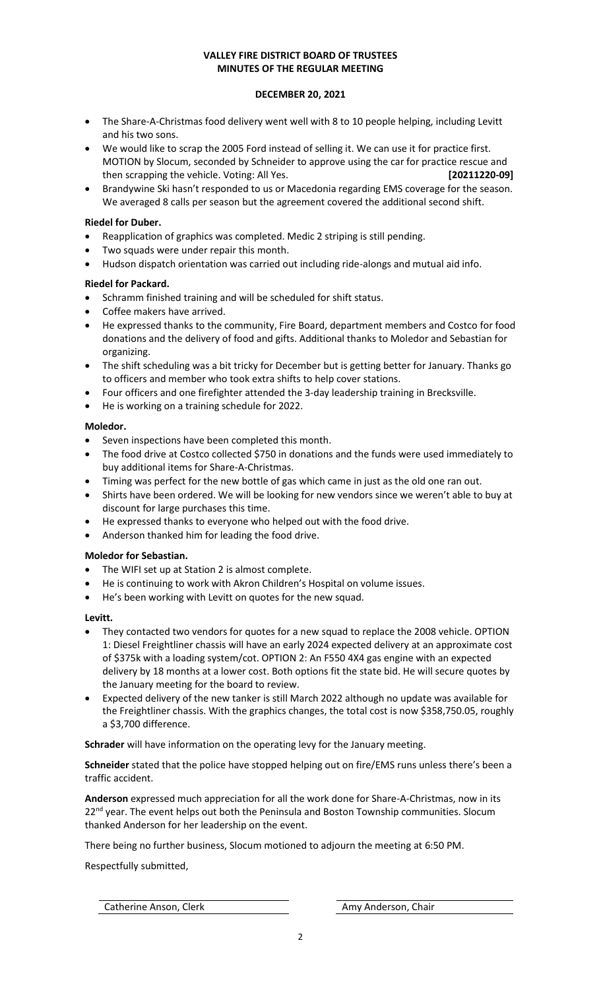# **VALLEY FIRE DISTRICT BOARD OF TRUSTEES MINUTES OF THE REGULAR MEETING**

## **DECEMBER 20, 2021**

- The Share-A-Christmas food delivery went well with 8 to 10 people helping, including Levitt and his two sons.
- We would like to scrap the 2005 Ford instead of selling it. We can use it for practice first. MOTION by Slocum, seconded by Schneider to approve using the car for practice rescue and then scrapping the vehicle. Voting: All Yes. **[20211220-09]**
- Brandywine Ski hasn't responded to us or Macedonia regarding EMS coverage for the season. We averaged 8 calls per season but the agreement covered the additional second shift.

# **Riedel for Duber.**

- Reapplication of graphics was completed. Medic 2 striping is still pending.
- Two squads were under repair this month.
- Hudson dispatch orientation was carried out including ride-alongs and mutual aid info.

## **Riedel for Packard.**

- Schramm finished training and will be scheduled for shift status.
- Coffee makers have arrived.
- He expressed thanks to the community, Fire Board, department members and Costco for food donations and the delivery of food and gifts. Additional thanks to Moledor and Sebastian for organizing.
- The shift scheduling was a bit tricky for December but is getting better for January. Thanks go to officers and member who took extra shifts to help cover stations.
- Four officers and one firefighter attended the 3-day leadership training in Brecksville.
- He is working on a training schedule for 2022.

# **Moledor.**

- Seven inspections have been completed this month.
- The food drive at Costco collected \$750 in donations and the funds were used immediately to buy additional items for Share-A-Christmas.
- Timing was perfect for the new bottle of gas which came in just as the old one ran out.
- Shirts have been ordered. We will be looking for new vendors since we weren't able to buy at discount for large purchases this time.
- He expressed thanks to everyone who helped out with the food drive.
- Anderson thanked him for leading the food drive.

## **Moledor for Sebastian.**

- The WIFI set up at Station 2 is almost complete.
- He is continuing to work with Akron Children's Hospital on volume issues.
- He's been working with Levitt on quotes for the new squad.

## **Levitt.**

- They contacted two vendors for quotes for a new squad to replace the 2008 vehicle. OPTION 1: Diesel Freightliner chassis will have an early 2024 expected delivery at an approximate cost of \$375k with a loading system/cot. OPTION 2: An F550 4X4 gas engine with an expected delivery by 18 months at a lower cost. Both options fit the state bid. He will secure quotes by the January meeting for the board to review.
- Expected delivery of the new tanker is still March 2022 although no update was available for the Freightliner chassis. With the graphics changes, the total cost is now \$358,750.05, roughly a \$3,700 difference.

**Schrader** will have information on the operating levy for the January meeting.

**Schneider** stated that the police have stopped helping out on fire/EMS runs unless there's been a traffic accident.

**Anderson** expressed much appreciation for all the work done for Share-A-Christmas, now in its  $22<sup>nd</sup>$  year. The event helps out both the Peninsula and Boston Township communities. Slocum thanked Anderson for her leadership on the event.

There being no further business, Slocum motioned to adjourn the meeting at 6:50 PM.

Respectfully submitted,

Catherine Anson, Clerk Amy Anderson, Chair